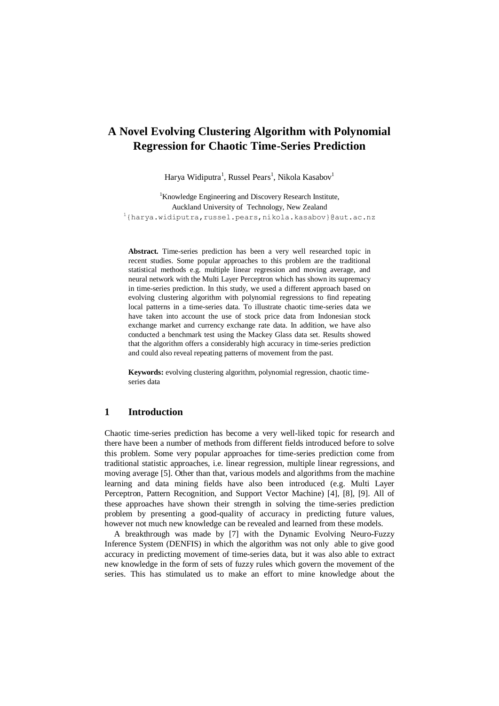# **A Novel Evolving Clustering Algorithm with Polynomial Regression for Chaotic Time-Series Prediction**

Harya Widiputra<sup>1</sup>, Russel Pears<sup>1</sup>, Nikola Kasabov<sup>1</sup>

<sup>1</sup>Knowledge Engineering and Discovery Research Institute, Auckland University of Technology, New Zealand <sup>1</sup>{harya.widiputra,russel.pears,nikola.kasabov}@aut.ac.nz

**Abstract.** Time-series prediction has been a very well researched topic in recent studies. Some popular approaches to this problem are the traditional statistical methods e.g. multiple linear regression and moving average, and neural network with the Multi Layer Perceptron which has shown its supremacy in time-series prediction. In this study, we used a different approach based on evolving clustering algorithm with polynomial regressions to find repeating local patterns in a time-series data. To illustrate chaotic time-series data we have taken into account the use of stock price data from Indonesian stock exchange market and currency exchange rate data. In addition, we have also conducted a benchmark test using the Mackey Glass data set. Results showed that the algorithm offers a considerably high accuracy in time-series prediction and could also reveal repeating patterns of movement from the past.

**Keywords:** evolving clustering algorithm, polynomial regression, chaotic timeseries data

# **1 Introduction**

Chaotic time-series prediction has become a very well-liked topic for research and there have been a number of methods from different fields introduced before to solve this problem. Some very popular approaches for time-series prediction come from traditional statistic approaches, i.e. linear regression, multiple linear regressions, and moving average [5]. Other than that, various models and algorithms from the machine learning and data mining fields have also been introduced (e.g. Multi Layer Perceptron, Pattern Recognition, and Support Vector Machine) [4], [8], [9]. All of these approaches have shown their strength in solving the time-series prediction problem by presenting a good-quality of accuracy in predicting future values, however not much new knowledge can be revealed and learned from these models.

A breakthrough was made by [7] with the Dynamic Evolving Neuro-Fuzzy Inference System (DENFIS) in which the algorithm was not only able to give good accuracy in predicting movement of time-series data, but it was also able to extract new knowledge in the form of sets of fuzzy rules which govern the movement of the series. This has stimulated us to make an effort to mine knowledge about the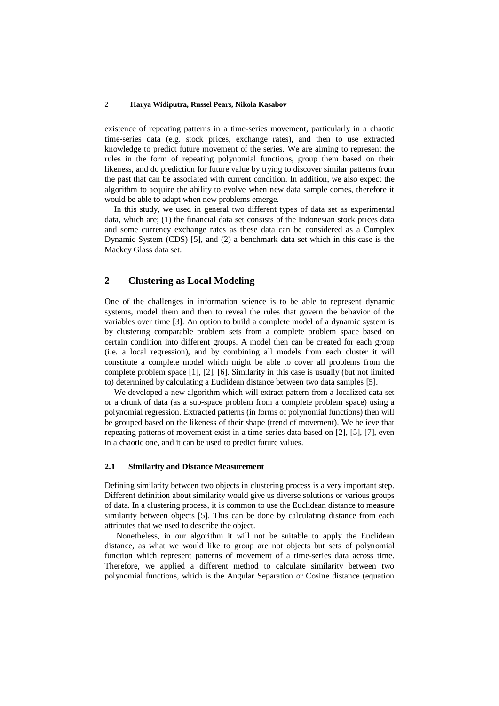existence of repeating patterns in a time-series movement, particularly in a chaotic time-series data (e.g. stock prices, exchange rates), and then to use extracted knowledge to predict future movement of the series. We are aiming to represent the rules in the form of repeating polynomial functions, group them based on their likeness, and do prediction for future value by trying to discover similar patterns from the past that can be associated with current condition. In addition, we also expect the algorithm to acquire the ability to evolve when new data sample comes, therefore it would be able to adapt when new problems emerge.

In this study, we used in general two different types of data set as experimental data, which are; (1) the financial data set consists of the Indonesian stock prices data and some currency exchange rates as these data can be considered as a Complex Dynamic System (CDS) [5], and (2) a benchmark data set which in this case is the Mackey Glass data set.

# **2 Clustering as Local Modeling**

One of the challenges in information science is to be able to represent dynamic systems, model them and then to reveal the rules that govern the behavior of the variables over time [3]. An option to build a complete model of a dynamic system is by clustering comparable problem sets from a complete problem space based on certain condition into different groups. A model then can be created for each group (i.e. a local regression), and by combining all models from each cluster it will constitute a complete model which might be able to cover all problems from the complete problem space [1], [2], [6]. Similarity in this case is usually (but not limited to) determined by calculating a Euclidean distance between two data samples [5].

We developed a new algorithm which will extract pattern from a localized data set or a chunk of data (as a sub-space problem from a complete problem space) using a polynomial regression. Extracted patterns (in forms of polynomial functions) then will be grouped based on the likeness of their shape (trend of movement). We believe that repeating patterns of movement exist in a time-series data based on [2], [5], [7], even in a chaotic one, and it can be used to predict future values.

## **2.1 Similarity and Distance Measurement**

Defining similarity between two objects in clustering process is a very important step. Different definition about similarity would give us diverse solutions or various groups of data. In a clustering process, it is common to use the Euclidean distance to measure similarity between objects [5]. This can be done by calculating distance from each attributes that we used to describe the object.

Nonetheless, in our algorithm it will not be suitable to apply the Euclidean distance, as what we would like to group are not objects but sets of polynomial function which represent patterns of movement of a time-series data across time. Therefore, we applied a different method to calculate similarity between two polynomial functions, which is the Angular Separation or Cosine distance (equation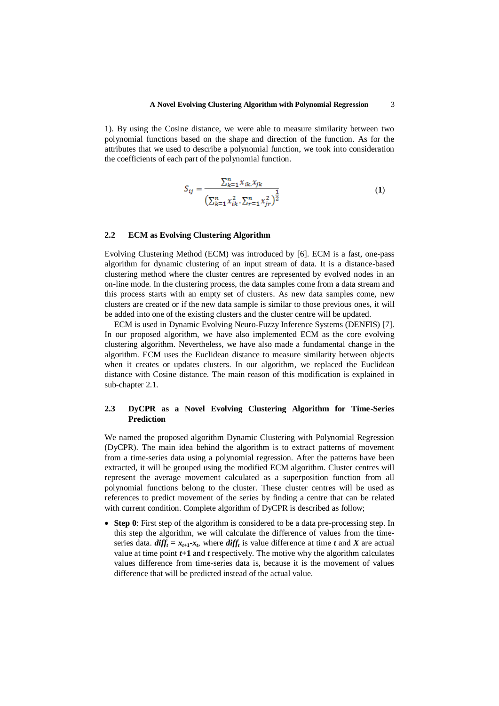1). By using the Cosine distance, we were able to measure similarity between two polynomial functions based on the shape and direction of the function. As for the attributes that we used to describe a polynomial function, we took into consideration the coefficients of each part of the polynomial function.

$$
S_{ij} = \frac{\sum_{k=1}^{n} x_{ik} x_{jk}}{\left(\sum_{k=1}^{n} x_{ik}^2, \sum_{r=1}^{n} x_{ir}^2\right)^{\frac{1}{2}}}
$$
(1)

#### **2.2 ECM as Evolving Clustering Algorithm**

Evolving Clustering Method (ECM) was introduced by [6]. ECM is a fast, one-pass algorithm for dynamic clustering of an input stream of data. It is a distance-based clustering method where the cluster centres are represented by evolved nodes in an on-line mode. In the clustering process, the data samples come from a data stream and this process starts with an empty set of clusters. As new data samples come, new clusters are created or if the new data sample is similar to those previous ones, it will be added into one of the existing clusters and the cluster centre will be updated.

ECM is used in Dynamic Evolving Neuro-Fuzzy Inference Systems (DENFIS) [7]. In our proposed algorithm, we have also implemented ECM as the core evolving clustering algorithm. Nevertheless, we have also made a fundamental change in the algorithm. ECM uses the Euclidean distance to measure similarity between objects when it creates or updates clusters. In our algorithm, we replaced the Euclidean distance with Cosine distance. The main reason of this modification is explained in sub-chapter 2.1.

## **2.3 DyCPR as a Novel Evolving Clustering Algorithm for Time-Series Prediction**

We named the proposed algorithm Dynamic Clustering with Polynomial Regression (DyCPR). The main idea behind the algorithm is to extract patterns of movement from a time-series data using a polynomial regression. After the patterns have been extracted, it will be grouped using the modified ECM algorithm. Cluster centres will represent the average movement calculated as a superposition function from all polynomial functions belong to the cluster. These cluster centres will be used as references to predict movement of the series by finding a centre that can be related with current condition. Complete algorithm of DyCPR is described as follow;

 **Step 0**: First step of the algorithm is considered to be a data pre-processing step. In this step the algorithm, we will calculate the difference of values from the timeseries data.  $diff_t = x_{t+1} - x_t$ , where  $diff_t$  is value difference at time *t* and *X* are actual value at time point *t***+1** and *t* respectively. The motive why the algorithm calculates values difference from time-series data is, because it is the movement of values difference that will be predicted instead of the actual value.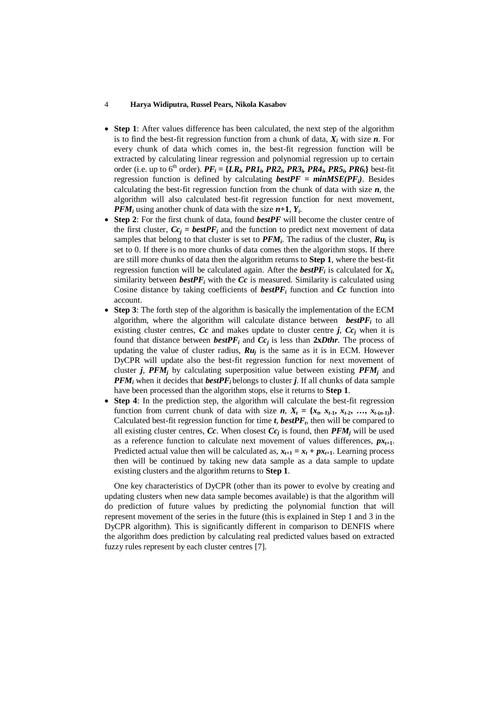- **Step 1**: After values difference has been calculated, the next step of the algorithm is to find the best-fit regression function from a chunk of data, *X<sup>i</sup>* with size *n*. For every chunk of data which comes in, the best-fit regression function will be extracted by calculating linear regression and polynomial regression up to certain order (i.e. up to 6<sup>th</sup> order).  $PF_i = \{LR_i, PR1_i, PR2_i, PR3_i, PR4_i, PR5_i, PR6_i\}$  best-fit regression function is defined by calculating  $\mathit{bestPF} = \textit{minMSE}(PF_i)$ . Besides calculating the best-fit regression function from the chunk of data with size *n*, the algorithm will also calculated best-fit regression function for next movement, *PFM<sup>i</sup>* using another chunk of data with the size *n***+1**, *Y<sup>i</sup>* .
- **Step 2**: For the first chunk of data, found *bestPF* will become the cluster centre of the first cluster,  $Cc_j = \mathbf{bestP}F_i$  and the function to predict next movement of data samples that belong to that cluster is set to  $PFM_i$ . The radius of the cluster,  $Ru_j$  is set to 0. If there is no more chunks of data comes then the algorithm stops. If there are still more chunks of data then the algorithm returns to **Step 1**, where the best-fit regression function will be calculated again. After the *bestPF<sup>i</sup>* is calculated for *X<sup>i</sup>* , similarity between **bestPF** $i$  with the  $Cc$  is measured. Similarity is calculated using Cosine distance by taking coefficients of  $\mathit{bestPF}_i$  function and  $Cc$  function into account.
- **Step 3**: The forth step of the algorithm is basically the implementation of the ECM algorithm, where the algorithm will calculate distance between *bestPF<sup>i</sup>* to all existing cluster centres,  $Cc$  and makes update to cluster centre *j*,  $Cc_j$  when it is found that distance between *bestPF*<sub>*i*</sub> and  $Cc_j$  is less than **2x***Dthr*. The process of updating the value of cluster radius,  $Ru_j$  is the same as it is in ECM. However DyCPR will update also the best-fit regression function for next movement of cluster *j*, *PFM<sup>j</sup>* by calculating superposition value between existing *PFM<sup>j</sup>* and *PFM<sup>i</sup>* when it decides that *bestPF<sup>i</sup>* belongs to cluster *j*. If all chunks of data sample have been processed than the algorithm stops, else it returns to **Step 1**.
- **Step 4**: In the prediction step, the algorithm will calculate the best-fit regression function from current chunk of data with size  $n$ ,  $X_t = \{x_t, x_{t-1}, x_{t-2}, \ldots, x_{t-(n-1)}\}$ . Calculated best-fit regression function for time  $t$ ,  $\mathit{bestPF}_t$ , then will be compared to all existing cluster centres, *Cc*. When closest  $Cc_j$  is found, then  $PFM_j$  will be used as a reference function to calculate next movement of values differences,  $p x_{t+1}$ . Predicted actual value then will be calculated as,  $x_{t+1} = x_t + px_{t+1}$ . Learning process then will be continued by taking new data sample as a data sample to update existing clusters and the algorithm returns to **Step 1**.

One key characteristics of DyCPR (other than its power to evolve by creating and updating clusters when new data sample becomes available) is that the algorithm will do prediction of future values by predicting the polynomial function that will represent movement of the series in the future (this is explained in Step 1 and 3 in the DyCPR algorithm). This is significantly different in comparison to DENFIS where the algorithm does prediction by calculating real predicted values based on extracted fuzzy rules represent by each cluster centres [7].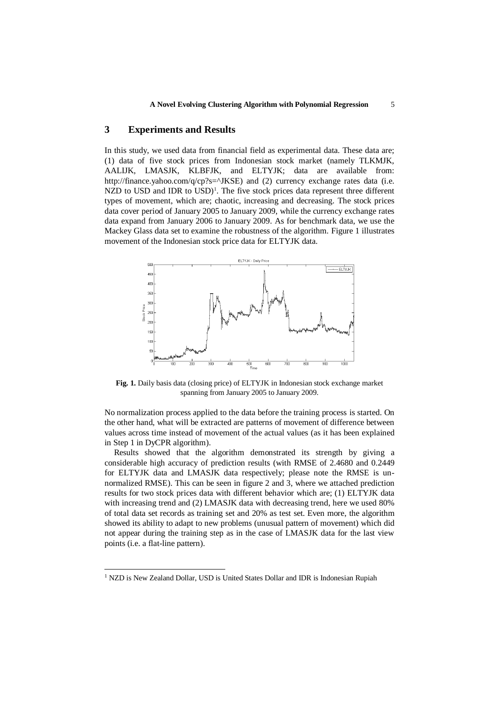# **3 Experiments and Results**

In this study, we used data from financial field as experimental data. These data are; (1) data of five stock prices from Indonesian stock market (namely TLKMJK, AALIJK, LMASJK, KLBFJK, and ELTYJK; data are available from: http://finance.yahoo.com/q/cp?s= $\Delta$ JKSE) and (2) currency exchange rates data (i.e. NZD to USD and IDR to USD)<sup>1</sup>. The five stock prices data represent three different types of movement, which are; chaotic, increasing and decreasing. The stock prices data cover period of January 2005 to January 2009, while the currency exchange rates data expand from January 2006 to January 2009. As for benchmark data, we use the Mackey Glass data set to examine the robustness of the algorithm. Figure 1 illustrates movement of the Indonesian stock price data for ELTYJK data.



**Fig. 1.** Daily basis data (closing price) of ELTYJK in Indonesian stock exchange market spanning from January 2005 to January 2009.

No normalization process applied to the data before the training process is started. On the other hand, what will be extracted are patterns of movement of difference between values across time instead of movement of the actual values (as it has been explained in Step 1 in DyCPR algorithm).

Results showed that the algorithm demonstrated its strength by giving a considerable high accuracy of prediction results (with RMSE of 2.4680 and 0.2449 for ELTYJK data and LMASJK data respectively; please note the RMSE is unnormalized RMSE). This can be seen in figure 2 and 3, where we attached prediction results for two stock prices data with different behavior which are; (1) ELTYJK data with increasing trend and (2) LMASJK data with decreasing trend, here we used 80% of total data set records as training set and 20% as test set. Even more, the algorithm showed its ability to adapt to new problems (unusual pattern of movement) which did not appear during the training step as in the case of LMASJK data for the last view points (i.e. a flat-line pattern).

-

<sup>&</sup>lt;sup>1</sup> NZD is New Zealand Dollar, USD is United States Dollar and IDR is Indonesian Rupiah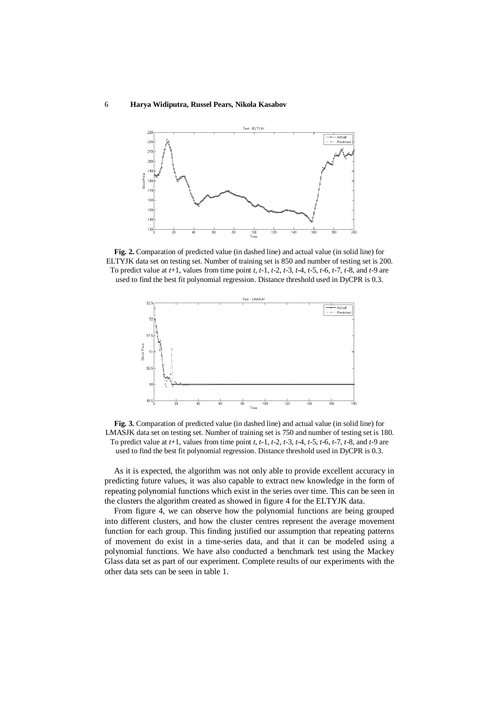

**Fig. 2.** Comparation of predicted value (in dashed line) and actual value (in solid line) for ELTYJK data set on testing set. Number of training set is 850 and number of testing set is 200. To predict value at *t*+1, values from time point *t*, *t*-1, *t*-2, *t*-3, *t*-4, *t*-5, *t*-6, *t*-7, *t*-8, and *t*-9 are used to find the best fit polynomial regression. Distance threshold used in DyCPR is 0.3.



**Fig. 3.** Comparation of predicted value (in dashed line) and actual value (in solid line) for LMASJK data set on testing set. Number of training set is 750 and number of testing set is 180. To predict value at *t*+1, values from time point *t*, *t*-1, *t*-2, *t*-3, *t*-4, *t*-5, *t*-6, *t*-7, *t*-8, and *t*-9 are used to find the best fit polynomial regression. Distance threshold used in DyCPR is 0.3.

As it is expected, the algorithm was not only able to provide excellent accuracy in predicting future values, it was also capable to extract new knowledge in the form of repeating polynomial functions which exist in the series over time. This can be seen in the clusters the algorithm created as showed in figure 4 for the ELTYJK data.

From figure 4, we can observe how the polynomial functions are being grouped into different clusters, and how the cluster centres represent the average movement function for each group. This finding justified our assumption that repeating patterns of movement do exist in a time-series data, and that it can be modeled using a polynomial functions. We have also conducted a benchmark test using the Mackey Glass data set as part of our experiment. Complete results of our experiments with the other data sets can be seen in table 1.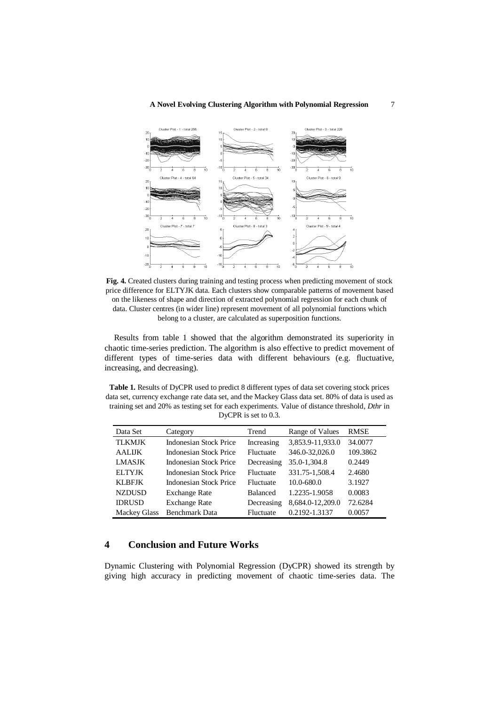#### **A Novel Evolving Clustering Algorithm with Polynomial Regression** 7



**Fig. 4.** Created clusters during training and testing process when predicting movement of stock price difference for ELTYJK data. Each clusters show comparable patterns of movement based on the likeness of shape and direction of extracted polynomial regression for each chunk of data. Cluster centres (in wider line) represent movement of all polynomial functions which belong to a cluster, are calculated as superposition functions.

Results from table 1 showed that the algorithm demonstrated its superiority in chaotic time-series prediction. The algorithm is also effective to predict movement of different types of time-series data with different behaviours (e.g. fluctuative, increasing, and decreasing).

**Table 1.** Results of DyCPR used to predict 8 different types of data set covering stock prices data set, currency exchange rate data set, and the Mackey Glass data set. 80% of data is used as training set and 20% as testing set for each experiments. Value of distance threshold, *Dthr* in DyCPR is set to 0.3.

| Data Set            | Category                      | Trend           | Range of Values  | <b>RMSE</b> |
|---------------------|-------------------------------|-----------------|------------------|-------------|
| <b>TLKMJK</b>       | <b>Indonesian Stock Price</b> | Increasing      | 3,853.9-11,933.0 | 34.0077     |
| <b>AALIJK</b>       | Indonesian Stock Price        | Fluctuate       | 346.0-32,026.0   | 109.3862    |
| <b>LMASJK</b>       | Indonesian Stock Price        | Decreasing      | 35.0-1,304.8     | 0.2449      |
| <b>ELTYJK</b>       | Indonesian Stock Price        | Fluctuate       | 331.75-1,508.4   | 2.4680      |
| <b>KLBFJK</b>       | <b>Indonesian Stock Price</b> | Fluctuate       | $10.0 - 680.0$   | 3.1927      |
| <b>NZDUSD</b>       | <b>Exchange Rate</b>          | <b>Balanced</b> | 1.2235-1.9058    | 0.0083      |
| <b>IDRUSD</b>       | <b>Exchange Rate</b>          | Decreasing      | 8,684.0-12,209.0 | 72.6284     |
| <b>Mackey Glass</b> | <b>Benchmark Data</b>         | Fluctuate       | 0.2192-1.3137    | 0.0057      |

# **4 Conclusion and Future Works**

Dynamic Clustering with Polynomial Regression (DyCPR) showed its strength by giving high accuracy in predicting movement of chaotic time-series data. The